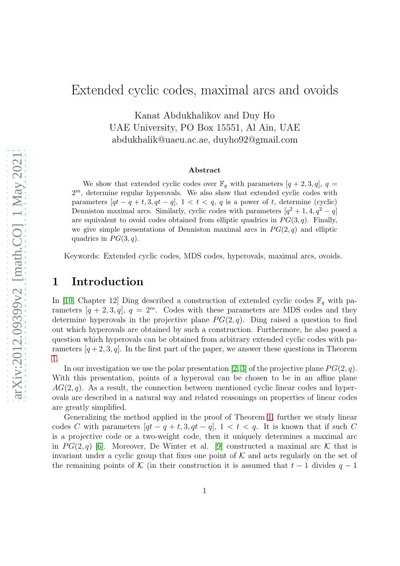# Extended cyclic codes, maximal arcs and ovoids

Kanat Abdukhalikov and Duy Ho UAE University, PO Box 15551, Al Ain, UAE abdukhalik@uaeu.ac.ae, duyho92@gmail.com

#### Abstract

We show that extended cyclic codes over  $\mathbb{F}_q$  with parameters  $[q + 2, 3, q]$ ,  $q =$  $2<sup>m</sup>$ , determine regular hyperovals. We also show that extended cyclic codes with parameters  $[qt - q + t, 3, qt - q]$ ,  $1 < t < q$ , q is a power of t, determine (cyclic) Denniston maximal arcs. Similarly, cyclic codes with parameters  $[q^2 + 1, 4, q^2 - q]$ are equivalent to ovoid codes obtained from elliptic quadrics in  $PG(3, q)$ . Finally, we give simple presentations of Denniston maximal arcs in  $PG(2,q)$  and elliptic quadrics in  $PG(3, q)$ .

Keywords: Extended cyclic codes, MDS codes, hyperovals, maximal arcs, ovoids.

### 1 Introduction

In [\[10,](#page-13-0) Chapter 12] Ding described a construction of extended cyclic codes  $\mathbb{F}_q$  with parameters  $[q + 2, 3, q]$ ,  $q = 2^m$ . Codes with these parameters are MDS codes and they determine hyperovals in the projective plane  $PG(2, q)$ . Ding raised a question to find out which hyperovals are obtained by such a construction. Furthermore, he also posed a question which hyperovals can be obtained from arbitrary extended cyclic codes with parameters  $[q+2, 3, q]$ . In the first part of the paper, we answer these questions in Theorem [1.](#page-4-0)

In our investigation we use the polar presentation [\[2,](#page-12-0) [3\]](#page-12-1) of the projective plane  $PG(2, q)$ . With this presentation, points of a hyperoval can be chosen to be in an affine plane  $AG(2, q)$ . As a result, the connection between mentioned cyclic linear codes and hyperovals are described in a natural way and related reasonings on properties of linear codes are greatly simplified.

Generalizing the method applied in the proof of Theorem [1,](#page-4-0) further we study linear codes C with parameters  $[qt - q + t, 3, qt - q]$ ,  $1 < t < q$ . It is known that if such C is a projective code or a two-weight code, then it uniquely determines a maximal arc in  $PG(2, q)$  [\[6\]](#page-13-1). Moreover, De Winter et al. [\[9\]](#page-13-2) constructed a maximal arc K that is invariant under a cyclic group that fixes one point of  $K$  and acts regularly on the set of the remaining points of K (in their construction it is assumed that  $t-1$  divides  $q-1$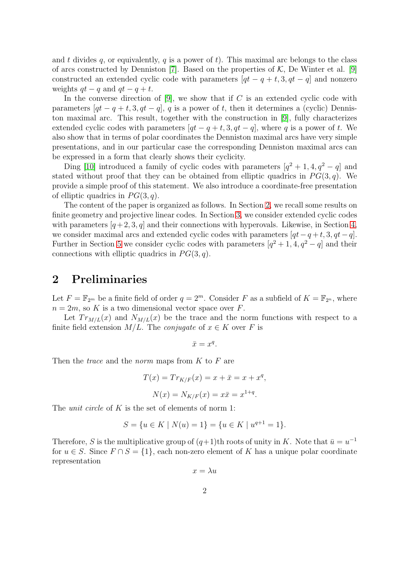and t divides q, or equivalently, q is a power of t). This maximal arc belongs to the class of arcs constructed by Denniston [\[7\]](#page-13-3). Based on the properties of  $K$ , De Winter et al. [\[9\]](#page-13-2) constructed an extended cyclic code with parameters  $[qt - q + t, 3, qt - q]$  and nonzero weights  $qt - q$  and  $qt - q + t$ .

In the converse direction of  $[9]$ , we show that if C is an extended cyclic code with parameters  $[qt - q + t, 3, qt - q]$ , q is a power of t, then it determines a (cyclic) Denniston maximal arc. This result, together with the construction in [\[9\]](#page-13-2), fully characterizes extended cyclic codes with parameters  $[qt - q + t, 3, qt - q]$ , where q is a power of t. We also show that in terms of polar coordinates the Denniston maximal arcs have very simple presentations, and in our particular case the corresponding Denniston maximal arcs can be expressed in a form that clearly shows their cyclicity.

Ding [\[10\]](#page-13-0) introduced a family of cyclic codes with parameters  $[q^2 + 1, 4, q^2 - q]$  and stated without proof that they can be obtained from elliptic quadrics in  $PG(3, q)$ . We provide a simple proof of this statement. We also introduce a coordinate-free presentation of elliptic quadrics in  $PG(3, q)$ .

The content of the paper is organized as follows. In Section [2,](#page-1-0) we recall some results on finite geometry and projective linear codes. In Section [3,](#page-3-0) we consider extended cyclic codes with parameters  $[q+2, 3, q]$  and their connections with hyperovals. Likewise, in Section [4,](#page-5-0) we consider maximal arcs and extended cyclic codes with parameters  $[qt - q + t, 3, qt - q]$ . Further in Section [5](#page-10-0) we consider cyclic codes with parameters  $[q^2 + 1, 4, q^2 - q]$  and their connections with elliptic quadrics in  $PG(3, q)$ .

## <span id="page-1-0"></span>2 Preliminaries

Let  $F = \mathbb{F}_{2^m}$  be a finite field of order  $q = 2^m$ . Consider F as a subfield of  $K = \mathbb{F}_{2^n}$ , where  $n = 2m$ , so K is a two dimensional vector space over F.

Let  $Tr_{M/L}(x)$  and  $N_{M/L}(x)$  be the trace and the norm functions with respect to a finite field extension  $M/L$ . The *conjugate* of  $x \in K$  over F is

$$
\bar{x} = x^q.
$$

Then the *trace* and the *norm* maps from  $K$  to  $F$  are

$$
T(x) = Tr_{K/F}(x) = x + \bar{x} = x + x^{q},
$$
  

$$
N(x) = N_{K/F}(x) = x\bar{x} = x^{1+q}.
$$

The *unit circle* of K is the set of elements of norm 1:

$$
S = \{ u \in K \mid N(u) = 1 \} = \{ u \in K \mid u^{q+1} = 1 \}.
$$

Therefore, S is the multiplicative group of  $(q+1)$ th roots of unity in K. Note that  $\bar{u} = u^{-1}$ for  $u \in S$ . Since  $F \cap S = \{1\}$ , each non-zero element of K has a unique polar coordinate representation

$$
x = \lambda u
$$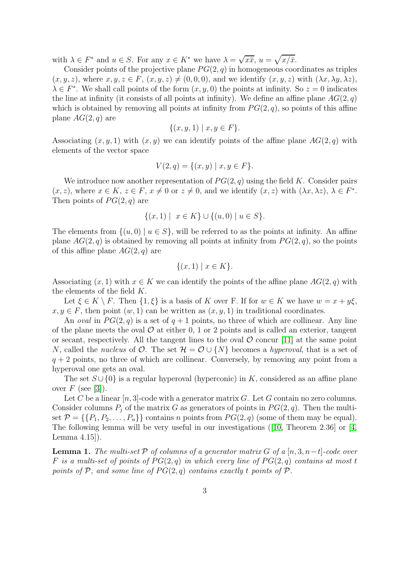with  $\lambda \in F^*$  and  $u \in S$ . For any  $x \in K^*$  we have  $\lambda = \sqrt{x\overline{x}}$ ,  $u = \sqrt{x/\overline{x}}$ .

Consider points of the projective plane  $PG(2, q)$  in homogeneous coordinates as triples  $(x, y, z)$ , where  $x, y, z \in F$ ,  $(x, y, z) \neq (0, 0, 0)$ , and we identify  $(x, y, z)$  with  $(\lambda x, \lambda y, \lambda z)$ ,  $\lambda \in F^*$ . We shall call points of the form  $(x, y, 0)$  the points at infinity. So  $z = 0$  indicates the line at infinity (it consists of all points at infinity). We define an affine plane  $AG(2, q)$ which is obtained by removing all points at infinity from  $PG(2, q)$ , so points of this affine plane  $AG(2,q)$  are

$$
\{(x, y, 1) \mid x, y \in F\}.
$$

Associating  $(x, y, 1)$  with  $(x, y)$  we can identify points of the affine plane  $AG(2, q)$  with elements of the vector space

$$
V(2,q) = \{(x,y) \mid x, y \in F\}.
$$

We introduce now another representation of  $PG(2, q)$  using the field K. Consider pairs  $(x, z)$ , where  $x \in K$ ,  $z \in F$ ,  $x \neq 0$  or  $z \neq 0$ , and we identify  $(x, z)$  with  $(\lambda x, \lambda z)$ ,  $\lambda \in F^*$ . Then points of  $PG(2,q)$  are

$$
\{(x,1) \mid x \in K\} \cup \{(u,0) \mid u \in S\}.
$$

The elements from  $\{(u, 0) | u \in S\}$ , will be referred to as the points at infinity. An affine plane  $AG(2, q)$  is obtained by removing all points at infinity from  $PG(2, q)$ , so the points of this affine plane  $AG(2, q)$  are

$$
\{(x,1) \mid x \in K\}.
$$

Associating  $(x, 1)$  with  $x \in K$  we can identify the points of the affine plane  $AG(2, q)$  with the elements of the field K.

Let  $\xi \in K \setminus F$ . Then  $\{1, \xi\}$  is a basis of K over F. If for  $w \in K$  we have  $w = x + y\xi$ ,  $x, y \in F$ , then point  $(w, 1)$  can be written as  $(x, y, 1)$  in traditional coordinates.

An *oval* in  $PG(2,q)$  is a set of  $q+1$  points, no three of which are collinear. Any line of the plane meets the oval  $\mathcal O$  at either 0, 1 or 2 points and is called an exterior, tangent or secant, respectively. All the tangent lines to the oval  $\mathcal O$  concur [\[11\]](#page-13-4) at the same point N, called the nucleus of  $\mathcal{O}$ . The set  $\mathcal{H} = \mathcal{O} \cup \{N\}$  becomes a hyperoval, that is a set of  $q + 2$  points, no three of which are collinear. Conversely, by removing any point from a hyperoval one gets an oval.

The set  $S \cup \{0\}$  is a regular hyperoval (hyperconic) in K, considered as an affine plane over  $F$  (see [\[3\]](#page-12-1)).

Let C be a linear  $[n, 3]$ -code with a generator matrix G. Let G contain no zero columns. Consider columns  $P_i$  of the matrix G as generators of points in  $PG(2, q)$ . Then the multiset  $\mathcal{P} = \{\{P_1, P_2, \ldots, P_n\}\}\$ contains n points from  $PG(2, q)$  (some of them may be equal). The following lemma will be very useful in our investigations ([\[10,](#page-13-0) Theorem 2.36] or [\[4,](#page-13-5) Lemma 4.15]).

<span id="page-2-0"></span>**Lemma 1.** The multi-set P of columns of a generator matrix G of a [n, 3, n -t]-code over F is a multi-set of points of  $PG(2,q)$  in which every line of  $PG(2,q)$  contains at most t points of P, and some line of  $PG(2, q)$  contains exactly t points of P.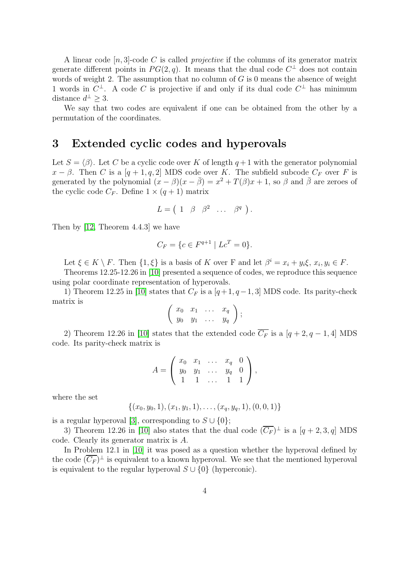A linear code  $[n, 3]$ -code C is called *projective* if the columns of its generator matrix generate different points in  $PG(2, q)$ . It means that the dual code  $C^{\perp}$  does not contain words of weight 2. The assumption that no column of  $G$  is 0 means the absence of weight 1 words in  $C^{\perp}$ . A code C is projective if and only if its dual code  $C^{\perp}$  has minimum distance  $d^{\perp} \geq 3$ .

We say that two codes are equivalent if one can be obtained from the other by a permutation of the coordinates.

### <span id="page-3-0"></span>3 Extended cyclic codes and hyperovals

Let  $S = \langle \beta \rangle$ . Let C be a cyclic code over K of length  $q + 1$  with the generator polynomial  $x - \beta$ . Then C is a [q + 1, q, 2] MDS code over K. The subfield subcode  $C_F$  over F is generated by the polynomial  $(x - \beta)(x - \bar{\beta}) = x^2 + T(\beta)x + 1$ , so  $\beta$  and  $\bar{\beta}$  are zeroes of the cyclic code  $C_F$ . Define  $1 \times (q+1)$  matrix

$$
L = \begin{pmatrix} 1 & \beta & \beta^2 & \dots & \beta^q \end{pmatrix}.
$$

Then by [\[12,](#page-13-6) Theorem 4.4.3] we have

$$
C_F = \{ c \in F^{q+1} \mid Lc^T = 0 \}.
$$

Let  $\xi \in K \setminus F$ . Then  $\{1, \xi\}$  is a basis of K over F and let  $\beta^i = x_i + y_i \xi$ ,  $x_i, y_i \in F$ .

Theorems 12.25-12.26 in [\[10\]](#page-13-0) presented a sequence of codes, we reproduce this sequence using polar coordinate representation of hyperovals.

1) Theorem 12.25 in [\[10\]](#page-13-0) states that  $C_F$  is a [q+1, q-1,3] MDS code. Its parity-check matrix is

$$
\left(\begin{array}{cccc} x_0 & x_1 & \ldots & x_q \\ y_0 & y_1 & \ldots & y_q \end{array}\right);
$$

2) Theorem 12.26 in [\[10\]](#page-13-0) states that the extended code  $\overline{C_F}$  is a [q + 2, q - 1, 4] MDS code. Its parity-check matrix is

$$
A = \left(\begin{array}{cccc} x_0 & x_1 & \dots & x_q & 0 \\ y_0 & y_1 & \dots & y_q & 0 \\ 1 & 1 & \dots & 1 & 1 \end{array}\right),
$$

where the set

$$
\{(x_0,y_0,1),(x_1,y_1,1),\ldots,(x_q,y_q,1),(0,0,1)\}
$$

is a regular hyperoval [\[3\]](#page-12-1), corresponding to  $S \cup \{0\};$ 

3) Theorem 12.26 in [\[10\]](#page-13-0) also states that the dual code  $(\overline{C_F})^{\perp}$  is a  $[q+2,3,q]$  MDS code. Clearly its generator matrix is A.

In Problem 12.1 in [\[10\]](#page-13-0) it was posed as a question whether the hyperoval defined by the code  $(\overline{C_F})^{\perp}$  is equivalent to a known hyperoval. We see that the mentioned hyperoval is equivalent to the regular hyperoval  $S \cup \{0\}$  (hyperconic).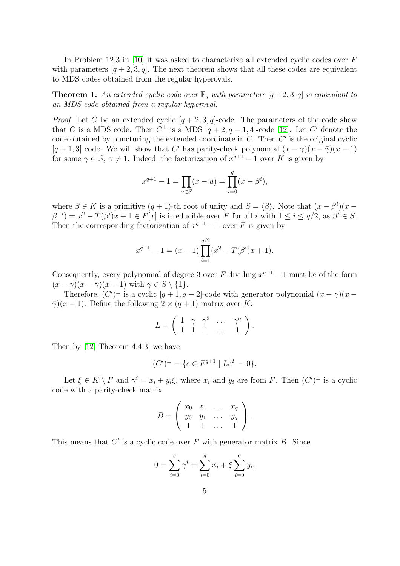In Problem 12.3 in [\[10\]](#page-13-0) it was asked to characterize all extended cyclic codes over F with parameters  $[q + 2, 3, q]$ . The next theorem shows that all these codes are equivalent to MDS codes obtained from the regular hyperovals.

<span id="page-4-0"></span>**Theorem 1.** An extended cyclic code over  $\mathbb{F}_q$  with parameters  $[q+2, 3, q]$  is equivalent to an MDS code obtained from a regular hyperoval.

*Proof.* Let C be an extended cyclic  $[q + 2, 3, q]$ -code. The parameters of the code show that C is a MDS code. Then  $C^{\perp}$  is a MDS  $[q+2, q-1, 4]$ -code [\[12\]](#page-13-6). Let C' denote the code obtained by puncturing the extended coordinate in  $C$ . Then  $C'$  is the original cyclic [q + 1, 3] code. We will show that C' has parity-check polynomial  $(x - \gamma)(x - \overline{\gamma})(x - 1)$ for some  $\gamma \in S$ ,  $\gamma \neq 1$ . Indeed, the factorization of  $x^{q+1} - 1$  over K is given by

$$
x^{q+1} - 1 = \prod_{u \in S} (x - u) = \prod_{i=0}^{q} (x - \beta^i),
$$

where  $\beta \in K$  is a primitive  $(q + 1)$ -th root of unity and  $S = \langle \beta \rangle$ . Note that  $(x - \beta^{i})(x - \beta^{i})$  $\beta^{-i}$ ) =  $x^2 - T(\beta^i)x + 1 \in F[x]$  is irreducible over F for all i with  $1 \le i \le q/2$ , as  $\beta^i \in S$ . Then the corresponding factorization of  $x^{q+1} - 1$  over F is given by

$$
x^{q+1} - 1 = (x - 1) \prod_{i=1}^{q/2} (x^2 - T(\beta^i)x + 1).
$$

Consequently, every polynomial of degree 3 over F dividing  $x^{q+1} - 1$  must be of the form  $(x - \gamma)(x - \overline{\gamma})(x - 1)$  with  $\gamma \in S \setminus \{1\}.$ 

Therefore,  $(C')^{\perp}$  is a cyclic  $[q+1, q-2]$ -code with generator polynomial  $(x - \gamma)(x \overline{\gamma}(x-1)$ . Define the following  $2 \times (q+1)$  matrix over K:

$$
L = \left( \begin{array}{cccc} 1 & \gamma & \gamma^2 & \cdots & \gamma^q \\ 1 & 1 & 1 & \cdots & 1 \end{array} \right).
$$

Then by [\[12,](#page-13-6) Theorem 4.4.3] we have

$$
(C')^{\perp} = \{c \in F^{q+1} \mid Lc^T = 0\}.
$$

Let  $\xi \in K \setminus F$  and  $\gamma^i = x_i + y_i \xi$ , where  $x_i$  and  $y_i$  are from F. Then  $(C')^{\perp}$  is a cyclic code with a parity-check matrix

$$
B = \left(\begin{array}{cccc} x_0 & x_1 & \dots & x_q \\ y_0 & y_1 & \dots & y_q \\ 1 & 1 & \dots & 1 \end{array}\right).
$$

This means that  $C'$  is a cyclic code over  $F$  with generator matrix  $B$ . Since

$$
0 = \sum_{i=0}^{q} \gamma^{i} = \sum_{i=0}^{q} x_{i} + \xi \sum_{i=0}^{q} y_{i},
$$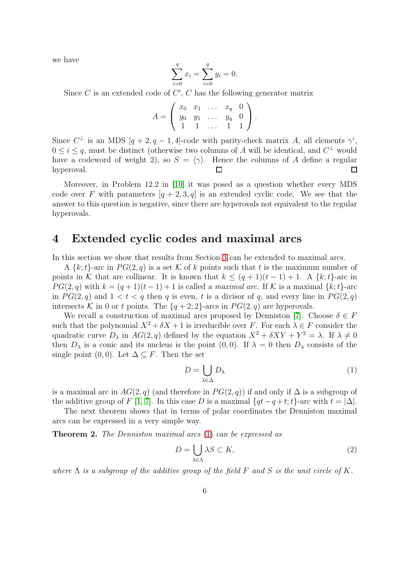we have

$$
\sum_{i=0}^{q} x_i = \sum_{i=0}^{q} y_i = 0.
$$

Since  $C$  is an extended code of  $C'$ ,  $C$  has the following generator matrix

$$
A = \left(\begin{array}{cccc} x_0 & x_1 & \dots & x_q & 0 \\ y_0 & y_1 & \dots & y_q & 0 \\ 1 & 1 & \dots & 1 & 1 \end{array}\right).
$$

Since  $C^{\perp}$  is an MDS  $[q + 2, q - 1, 4]$ -code with parity-check matrix A, all elements  $\gamma^{i}$ ,  $0 \leq i \leq q$ , must be distinct (otherwise two columns of A will be identical, and  $C^{\perp}$  would have a codeword of weight 2), so  $S = \langle \gamma \rangle$ . Hence the columns of A define a regular hyperoval. hyperoval.

Moreover, in Problem 12.2 in [\[10\]](#page-13-0) it was posed as a question whether every MDS code over F with parameters  $[q + 2, 3, q]$  is an extended cyclic code. We see that the answer to this question is negative, since there are hyperovals not equivalent to the regular hyperovals.

#### <span id="page-5-0"></span>4 Extended cyclic codes and maximal arcs

In this section we show that results from Section [3](#page-3-0) can be extended to maximal arcs.

A  $\{k;t\}$ -arc in  $PG(2,q)$  is a set K of k points such that t is the maximum number of points in K that are collinear. It is known that  $k \leq (q + 1)(t - 1) + 1$ . A  $\{k; t\}$ -arc in  $PG(2,q)$  with  $k = (q+1)(t-1)+1$  is called a maximal arc. If K is a maximal  $\{k; t\}$ -arc in  $PG(2, q)$  and  $1 < t < q$  then q is even, t is a divisor of q, and every line in  $PG(2, q)$ intersects K in 0 or t points. The  $\{q+2, 2\}$ -arcs in  $PG(2, q)$  are hyperovals.

We recall a construction of maximal arcs proposed by Denniston [\[7\]](#page-13-3). Choose  $\delta \in F$ such that the polynomial  $X^2 + \delta X + 1$  is irreducible over F. For each  $\lambda \in F$  consider the quadratic curve  $D_{\lambda}$  in  $AG(2, q)$  defined by the equation  $X^2 + \delta XY + Y^2 = \lambda$ . If  $\lambda \neq 0$ then  $D_{\lambda}$  is a conic and its nucleus is the point  $(0, 0)$ . If  $\lambda = 0$  then  $D_{\lambda}$  consists of the single point  $(0, 0)$ . Let  $\Delta \subseteq F$ . Then the set

<span id="page-5-1"></span>
$$
D = \bigcup_{\lambda \in \Delta} D_{\lambda} \tag{1}
$$

is a maximal arc in  $AG(2, q)$  (and therefore in  $PG(2, q)$ ) if and only if  $\Delta$  is a subgroup of the additive group of F [\[1,](#page-12-2) [7\]](#page-13-3). In this case D is a maximal  $\{qt-q+t;t\}$ -arc with  $t = |\Delta|$ .

The next theorem shows that in terms of polar coordinates the Denniston maximal arcs can be expressed in a very simple way.

Theorem 2. The Denniston maximal arcs [\(1\)](#page-5-1) can be expressed as

$$
D = \bigcup_{\lambda \in \Lambda} \lambda S \subset K,\tag{2}
$$

where  $\Lambda$  is a subgroup of the additive group of the field F and S is the unit circle of K.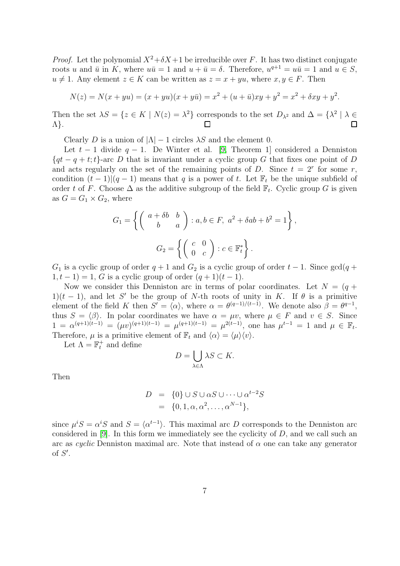*Proof.* Let the polynomial  $X^2 + \delta X + 1$  be irreducible over F. It has two distinct conjugate roots u and  $\bar{u}$  in K, where  $u\bar{u} = 1$  and  $u + \bar{u} = \delta$ . Therefore,  $u^{q+1} = u\bar{u} = 1$  and  $u \in S$ ,  $u \neq 1$ . Any element  $z \in K$  can be written as  $z = x + yu$ , where  $x, y \in F$ . Then

$$
N(z) = N(x + yu) = (x + yu)(x + y\overline{u}) = x^2 + (u + \overline{u})xy + y^2 = x^2 + \delta xy + y^2.
$$

Then the set  $\lambda S = \{z \in K \mid N(z) = \lambda^2\}$  corresponds to the set  $D_{\lambda^2}$  and  $\Delta = \{\lambda^2 \mid \lambda \in \Lambda\}$ Λ}.

Clearly D is a union of  $|\Lambda| - 1$  circles  $\lambda S$  and the element 0.

Let  $t-1$  divide  $q-1$ . De Winter et al. [\[9,](#page-13-2) Theorem 1] considered a Denniston  ${q_t - q + t; t}$ -arc D that is invariant under a cyclic group G that fixes one point of D and acts regularly on the set of the remaining points of D. Since  $t = 2^r$  for some r, condition  $(t-1)|(q-1)$  means that q is a power of t. Let  $\mathbb{F}_t$  be the unique subfield of order t of F. Choose  $\Delta$  as the additive subgroup of the field  $\mathbb{F}_t$ . Cyclic group G is given as  $G = G_1 \times G_2$ , where

$$
G_1 = \left\{ \begin{pmatrix} a + \delta b & b \\ b & a \end{pmatrix} : a, b \in F, a^2 + \delta ab + b^2 = 1 \right\},\
$$

$$
G_2 = \left\{ \begin{pmatrix} c & 0 \\ 0 & c \end{pmatrix} : c \in \mathbb{F}_t^* \right\}.
$$

 $G_1$  is a cyclic group of order  $q + 1$  and  $G_2$  is a cyclic group of order  $t - 1$ . Since  $gcd(q +$  $1, t - 1$ ) = 1, G is a cyclic group of order  $(q + 1)(t - 1)$ .

Now we consider this Denniston arc in terms of polar coordinates. Let  $N = (q +$ 1)(t − 1), and let S' be the group of N-th roots of unity in K. If  $\theta$  is a primitive element of the field K then  $S' = \langle \alpha \rangle$ , where  $\alpha = \theta^{(q-1)/(t-1)}$ . We denote also  $\beta = \theta^{q-1}$ , thus  $S = \langle \beta \rangle$ . In polar coordinates we have  $\alpha = \mu v$ , where  $\mu \in F$  and  $v \in S$ . Since  $1 = \alpha^{(q+1)(t-1)} = (\mu v)^{(q+1)(t-1)} = \mu^{(q+1)(t-1)} = \mu^{2(t-1)}$ , one has  $\mu^{t-1} = 1$  and  $\mu \in \mathbb{F}_t$ . Therefore,  $\mu$  is a primitive element of  $\mathbb{F}_t$  and  $\langle \alpha \rangle = \langle \mu \rangle \langle \nu \rangle$ .

Let  $\Lambda = \mathbb{F}^+_t$  and define

$$
D = \bigcup_{\lambda \in \Lambda} \lambda S \subset K.
$$

Then

$$
D = \{0\} \cup S \cup \alpha S \cup \dots \cup \alpha^{t-2}S
$$
  
=  $\{0, 1, \alpha, \alpha^2, \dots, \alpha^{N-1}\},$ 

since  $\mu^i S = \alpha^i S$  and  $S = \langle \alpha^{t-1} \rangle$ . This maximal arc D corresponds to the Denniston arc considered in  $[9]$ . In this form we immediately see the cyclicity of D, and we call such an arc as cyclic Denniston maximal arc. Note that instead of  $\alpha$  one can take any generator of  $S'$ .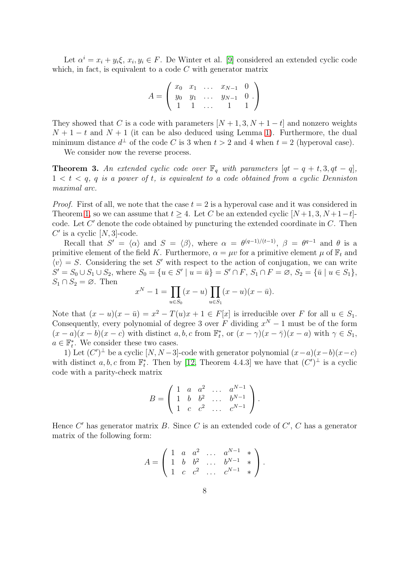Let  $\alpha^i = x_i + y_i \xi$ ,  $x_i, y_i \in F$ . De Winter et al. [\[9\]](#page-13-2) considered an extended cyclic code which, in fact, is equivalent to a code  $C$  with generator matrix

$$
A = \left(\begin{array}{cccc} x_0 & x_1 & \dots & x_{N-1} & 0 \\ y_0 & y_1 & \dots & y_{N-1} & 0 \\ 1 & 1 & \dots & 1 & 1 \end{array}\right)
$$

They showed that C is a code with parameters  $[N+1, 3, N+1-t]$  and nonzero weights  $N+1-t$  and  $N+1$  (it can be also deduced using Lemma [1\)](#page-2-0). Furthermore, the dual minimum distance  $d^{\perp}$  of the code C is 3 when  $t > 2$  and 4 when  $t = 2$  (hyperoval case).

We consider now the reverse process.

**Theorem 3.** An extended cyclic code over  $\mathbb{F}_q$  with parameters  $[qt - q + t, 3, qt - q]$ ,  $1 < t < q$ , q is a power of t, is equivalent to a code obtained from a cyclic Denniston maximal arc.

*Proof.* First of all, we note that the case  $t = 2$  is a hyperoval case and it was considered in Theorem [1,](#page-4-0) so we can assume that  $t \geq 4$ . Let C be an extended cyclic  $[N+1, 3, N+1-t]$ code. Let  $C'$  denote the code obtained by puncturing the extended coordinate in  $C$ . Then  $C'$  is a cyclic  $[N, 3]$ -code.

Recall that  $S' = \langle \alpha \rangle$  and  $S = \langle \beta \rangle$ , where  $\alpha = \theta^{(q-1)/(t-1)}$ ,  $\beta = \theta^{q-1}$  and  $\theta$  is a primitive element of the field K. Furthermore,  $\alpha = \mu v$  for a primitive element  $\mu$  of  $\mathbb{F}_t$  and  $\langle v \rangle = S$ . Considering the set S' with respect to the action of conjugation, we can write  $S' = S_0 \cup S_1 \cup S_2$ , where  $S_0 = \{u \in S' \mid u = \bar{u}\} = S' \cap F$ ,  $S_1 \cap F = \emptyset$ ,  $S_2 = \{\bar{u} \mid u \in S_1\}$ ,  $S_1 \cap S_2 = \emptyset$ . Then

$$
x^{N} - 1 = \prod_{u \in S_{0}} (x - u) \prod_{u \in S_{1}} (x - u)(x - \bar{u}).
$$

Note that  $(x - u)(x - \bar{u}) = x^2 - T(u)x + 1 \in F[x]$  is irreducible over F for all  $u \in S_1$ . Consequently, every polynomial of degree 3 over F dividing  $x^N - 1$  must be of the form  $(x-a)(x-b)(x-c)$  with distinct  $a, b, c$  from  $\mathbb{F}_t^*$ , or  $(x-\gamma)(x-\overline{\gamma})(x-a)$  with  $\gamma \in S_1$ ,  $a \in \mathbb{F}_t^*$ . We consider these two cases.

1) Let  $(C')^{\perp}$  be a cyclic  $[N, N-3]$ -code with generator polynomial  $(x-a)(x-b)(x-c)$ with distinct a, b, c from  $\mathbb{F}_t^*$ . Then by [\[12,](#page-13-6) Theorem 4.4.3] we have that  $(C')^{\perp}$  is a cyclic code with a parity-check matrix

$$
B = \left( \begin{array}{cccc} 1 & a & a^2 & \dots & a^{N-1} \\ 1 & b & b^2 & \dots & b^{N-1} \\ 1 & c & c^2 & \dots & c^{N-1} \end{array} \right).
$$

Hence  $C'$  has generator matrix  $B$ . Since  $C$  is an extended code of  $C'$ ,  $C$  has a generator matrix of the following form:

$$
A = \begin{pmatrix} 1 & a & a^2 & \dots & a^{N-1} & * \\ 1 & b & b^2 & \dots & b^{N-1} & * \\ 1 & c & c^2 & \dots & c^{N-1} & * \end{pmatrix}.
$$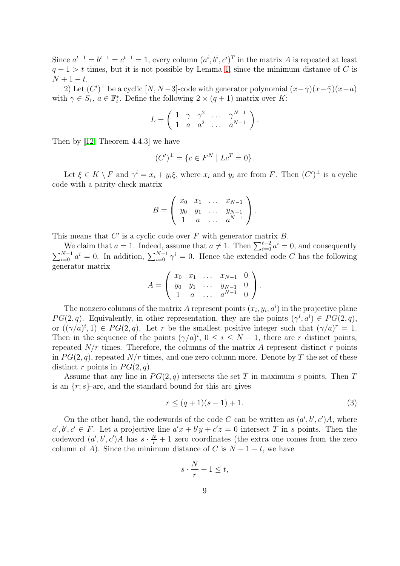Since  $a^{t-1} = b^{t-1} = c^{t-1} = 1$ , every column  $(a^i, b^i, c^i)^T$  in the matrix A is repeated at least  $q + 1 > t$  times, but it is not possible by Lemma [1,](#page-2-0) since the minimum distance of C is  $N + 1 - t$ .

2) Let  $(C')^{\perp}$  be a cyclic  $[N, N-3]$ -code with generator polynomial  $(x-\gamma)(x-\bar{\gamma})(x-a)$ with  $\gamma \in S_1$ ,  $a \in \mathbb{F}_t^*$ . Define the following  $2 \times (q+1)$  matrix over K:

$$
L = \left( \begin{array}{cccc} 1 & \gamma & \gamma^2 & \dots & \gamma^{N-1} \\ 1 & a & a^2 & \dots & a^{N-1} \end{array} \right).
$$

Then by [\[12,](#page-13-6) Theorem 4.4.3] we have

$$
(C')^{\perp} = \{c \in F^N \mid Lc^T = 0\}.
$$

Let  $\xi \in K \setminus F$  and  $\gamma^i = x_i + y_i \xi$ , where  $x_i$  and  $y_i$  are from F. Then  $(C')^{\perp}$  is a cyclic code with a parity-check matrix

$$
B = \left(\begin{array}{cccc} x_0 & x_1 & \dots & x_{N-1} \\ y_0 & y_1 & \dots & y_{N-1} \\ 1 & a & \dots & a^{N-1} \end{array}\right).
$$

This means that  $C'$  is a cyclic code over  $F$  with generator matrix  $B$ .

We claim that  $a = 1$ . Indeed, assume that  $a \neq 1$ . Then  $\sum_{i=0}^{t-2} a^i = 0$ , and consequently  $\sum_{i=0}^{N-1} a^i = 0$ . In addition,  $\sum_{i=0}^{N-1} \gamma^i = 0$ . Hence the extended code C has the following generator matrix

$$
A = \left(\begin{array}{cccc} x_0 & x_1 & \dots & x_{N-1} & 0 \\ y_0 & y_1 & \dots & y_{N-1} & 0 \\ 1 & a & \dots & a^{N-1} & 0 \end{array}\right).
$$

The nonzero columns of the matrix A represent points  $(x_i, y_i, a^i)$  in the projective plane  $PG(2, q)$ . Equivalently, in other representation, they are the points  $(\gamma^i, a^i) \in PG(2, q)$ , or  $((\gamma/a)^i, 1) \in PG(2, q)$ . Let r be the smallest positive integer such that  $(\gamma/a)^r = 1$ . Then in the sequence of the points  $(\gamma/a)^i$ ,  $0 \le i \le N-1$ , there are r distinct points, repeated  $N/r$  times. Therefore, the columns of the matrix A represent distinct r points in  $PG(2, q)$ , repeated  $N/r$  times, and one zero column more. Denote by T the set of these distinct r points in  $PG(2, q)$ .

Assume that any line in  $PG(2,q)$  intersects the set T in maximum s points. Then T is an  $\{r; s\}$ -arc, and the standard bound for this arc gives

<span id="page-8-0"></span>
$$
r \le (q+1)(s-1) + 1. \tag{3}
$$

On the other hand, the codewords of the code C can be written as  $(a', b', c')A$ , where  $a', b', c' \in F$ . Let a projective line  $a'x + b'y + c'z = 0$  intersect T in s points. Then the codeword  $(a', b', c')A$  has  $s \cdot \frac{N}{r} + 1$  zero coordinates (the extra one comes from the zero column of A). Since the minimum distance of C is  $N + 1 - t$ , we have

$$
s \cdot \frac{N}{r} + 1 \le t,
$$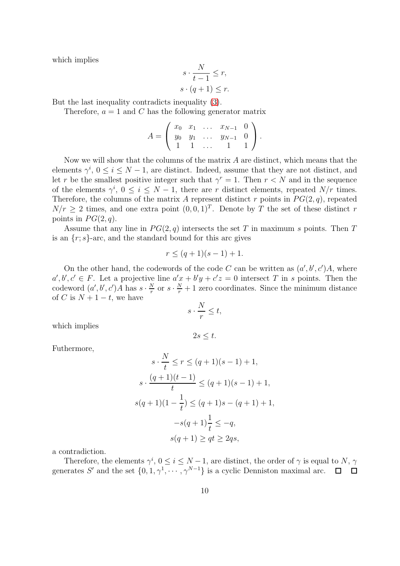which implies

$$
s \cdot \frac{N}{t-1} \le r,
$$
  

$$
s \cdot (q+1) \le r.
$$

But the last inequality contradicts inequality [\(3\)](#page-8-0).

Therefore,  $a = 1$  and C has the following generator matrix

$$
A = \left(\begin{array}{cccc} x_0 & x_1 & \dots & x_{N-1} & 0 \\ y_0 & y_1 & \dots & y_{N-1} & 0 \\ 1 & 1 & \dots & 1 & 1 \end{array}\right).
$$

Now we will show that the columns of the matrix  $A$  are distinct, which means that the elements  $\gamma^i$ ,  $0 \le i \le N-1$ , are distinct. Indeed, assume that they are not distinct, and let r be the smallest positive integer such that  $\gamma^r = 1$ . Then  $r < N$  and in the sequence of the elements  $\gamma^i$ ,  $0 \le i \le N-1$ , there are r distinct elements, repeated  $N/r$  times. Therefore, the columns of the matrix A represent distinct r points in  $PG(2, q)$ , repeated  $N/r \geq 2$  times, and one extra point  $(0,0,1)^T$ . Denote by T the set of these distinct r points in  $PG(2, q)$ .

Assume that any line in  $PG(2, q)$  intersects the set T in maximum s points. Then T is an  $\{r; s\}$ -arc, and the standard bound for this arc gives

$$
r \le (q+1)(s-1) + 1.
$$

On the other hand, the codewords of the code C can be written as  $(a', b', c')A$ , where  $a', b', c' \in F$ . Let a projective line  $a'_{x} + b'y + c'z = 0$  intersect T in s points. Then the codeword  $(a', b', c')A$  has  $s \cdot \frac{N}{r}$  $\frac{N}{r}$  or  $s \cdot \frac{N}{r} + 1$  zero coordinates. Since the minimum distance of C is  $N + 1 - t$ , we have

$$
s \cdot \frac{N}{r} \le t,
$$

which implies

$$
2s \leq t.
$$

Futhermore,

$$
s \cdot \frac{N}{t} \le r \le (q+1)(s-1) + 1,
$$
  
\n
$$
s \cdot \frac{(q+1)(t-1)}{t} \le (q+1)(s-1) + 1,
$$
  
\n
$$
s(q+1)(1 - \frac{1}{t}) \le (q+1)s - (q+1) + 1,
$$
  
\n
$$
-s(q+1)\frac{1}{t} \le -q,
$$
  
\n
$$
s(q+1) \ge qt \ge 2qs,
$$

a contradiction.

Therefore, the elements  $\gamma^i$ ,  $0 \le i \le N-1$ , are distinct, the order of  $\gamma$  is equal to N,  $\gamma$ generates S' and the set  $\{0, 1, \gamma^1, \cdots, \gamma^{N-1}\}$  is a cyclic Denniston maximal arc.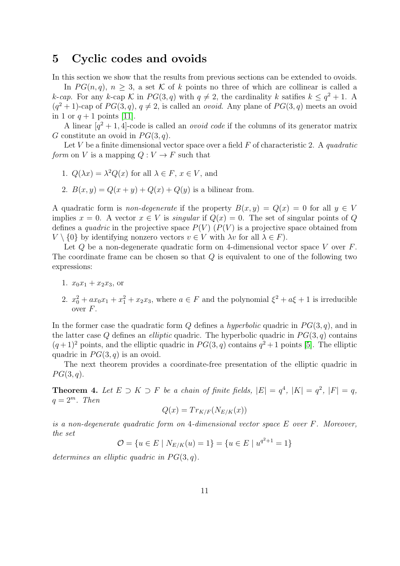### <span id="page-10-0"></span>5 Cyclic codes and ovoids

In this section we show that the results from previous sections can be extended to ovoids.

In  $PG(n, q)$ ,  $n > 3$ , a set K of k points no three of which are collinear is called a k-cap. For any k-cap K in  $PG(3, q)$  with  $q \neq 2$ , the cardinality k satifies  $k \leq q^2 + 1$ . A  $(q^2+1)$ -cap of  $PG(3, q)$ ,  $q \neq 2$ , is called an *ovoid*. Any plane of  $PG(3, q)$  meets an ovoid in 1 or  $q+1$  points [\[11\]](#page-13-4).

A linear  $[q^2+1, 4]$ -code is called an *ovoid code* if the columns of its generator matrix G constitute an ovoid in  $PG(3, q)$ .

Let V be a finite dimensional vector space over a field  $F$  of characteristic 2. A quadratic form on V is a mapping  $Q: V \to F$  such that

1. 
$$
Q(\lambda x) = \lambda^2 Q(x)
$$
 for all  $\lambda \in F$ ,  $x \in V$ , and

2.  $B(x, y) = Q(x + y) + Q(x) + Q(y)$  is a bilinear from.

A quadratic form is *non-degenerate* if the property  $B(x, y) = Q(x) = 0$  for all  $y \in V$ implies  $x = 0$ . A vector  $x \in V$  is *singular* if  $Q(x) = 0$ . The set of singular points of Q defines a *quadric* in the projective space  $P(V)$  ( $P(V)$ ) is a projective space obtained from  $V \setminus \{0\}$  by identifying nonzero vectors  $v \in V$  with  $\lambda v$  for all  $\lambda \in F$ ).

Let  $Q$  be a non-degenerate quadratic form on 4-dimensional vector space V over  $F$ . The coordinate frame can be chosen so that  $Q$  is equivalent to one of the following two expressions:

- 1.  $x_0x_1 + x_2x_3$ , or
- 2.  $x_0^2 + ax_0x_1 + x_1^2 + x_2x_3$ , where  $a \in F$  and the polynomial  $\xi^2 + a\xi + 1$  is irreducible over  $F$ .

In the former case the quadratic form Q defines a *hyperbolic* quadric in  $PG(3, q)$ , and in the latter case Q defines an *elliptic* quadric. The hyperbolic quadric in  $PG(3, q)$  contains  $(q+1)^2$  points, and the elliptic quadric in  $PG(3, q)$  contains  $q^2+1$  points [\[5\]](#page-13-7). The elliptic quadric in  $PG(3, q)$  is an ovoid.

The next theorem provides a coordinate-free presentation of the elliptic quadric in  $PG(3,q).$ 

<span id="page-10-1"></span>**Theorem 4.** Let  $E \supset K \supset F$  be a chain of finite fields,  $|E| = q^4$ ,  $|K| = q^2$ ,  $|F| = q$ ,  $q=2^m$ . Then

$$
Q(x) = Tr_{K/F}(N_{E/K}(x))
$$

is a non-degenerate quadratic form on 4-dimensional vector space E over F. Moreover, the set

$$
\mathcal{O} = \{ u \in E \mid N_{E/K}(u) = 1 \} = \{ u \in E \mid u^{q^2 + 1} = 1 \}
$$

determines an elliptic quadric in  $PG(3, q)$ .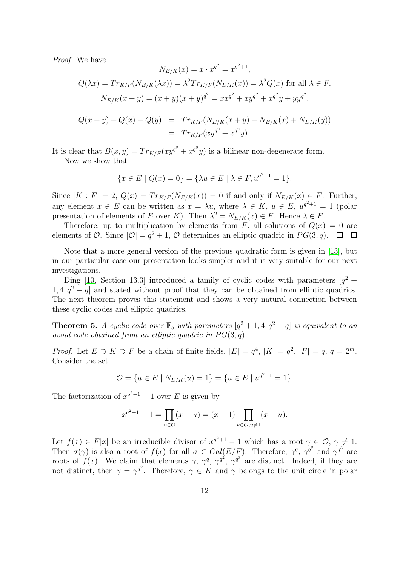Proof. We have

$$
N_{E/K}(x) = x \cdot x^{q^2} = x^{q^2+1},
$$
  
\n
$$
Q(\lambda x) = Tr_{K/F}(N_{E/K}(\lambda x)) = \lambda^2 Tr_{K/F}(N_{E/K}(x)) = \lambda^2 Q(x) \text{ for all } \lambda \in F,
$$
  
\n
$$
N_{E/K}(x+y) = (x+y)(x+y)^{q^2} = xx^{q^2} + xy^{q^2} + x^{q^2}y + yy^{q^2},
$$
  
\n
$$
Q(x+y) + Q(x) + Q(y) = Tr_{K/F}(N_{E/K}(x+y) + N_{E/K}(x) + N_{E/K}(y))
$$
  
\n
$$
= Tr_{K/F}(xy^{q^2} + x^{q^2}y).
$$

 $\overline{2}$ 

It is clear that  $B(x, y) = Tr_{K/F}(xy^{q^2} + x^{q^2}y)$  is a bilinear non-degenerate form.

Now we show that

$$
\{x \in E \mid Q(x) = 0\} = \{\lambda u \in E \mid \lambda \in F, u^{q^2 + 1} = 1\}.
$$

Since  $[K : F] = 2$ ,  $Q(x) = Tr_{K/F}(N_{E/K}(x)) = 0$  if and only if  $N_{E/K}(x) \in F$ . Further, any element  $x \in E$  can be written as  $x = \lambda u$ , where  $\lambda \in K$ ,  $u \in E$ ,  $u^{q^2+1} = 1$  (polar presentation of elements of E over K). Then  $\lambda^2 = N_{E/K}(x) \in F$ . Hence  $\lambda \in F$ .

Therefore, up to multiplication by elements from  $F$ , all solutions of  $Q(x) = 0$  are elements of  $O$ . Since  $|O| = q^2 + 1$ ,  $O$  determines an elliptic quadric in  $PG(3, q)$ .

Note that a more general version of the previous quadratic form is given in [\[13\]](#page-13-8), but in our particular case our presentation looks simpler and it is very suitable for our next investigations.

Ding [\[10,](#page-13-0) Section 13.3] introduced a family of cyclic codes with parameters  $[q^2 + ]$  $1, 4, q<sup>2</sup> - q$  and stated without proof that they can be obtained from elliptic quadrics. The next theorem proves this statement and shows a very natural connection between these cyclic codes and elliptic quadrics.

**Theorem 5.** A cyclic code over  $\mathbb{F}_q$  with parameters  $[q^2 + 1, 4, q^2 - q]$  is equivalent to an ovoid code obtained from an elliptic quadric in  $PG(3, q)$ .

*Proof.* Let  $E \supset K \supset F$  be a chain of finite fields,  $|E| = q^4$ ,  $|K| = q^2$ ,  $|F| = q$ ,  $q = 2^m$ . Consider the set

$$
\mathcal{O} = \{ u \in E \mid N_{E/K}(u) = 1 \} = \{ u \in E \mid u^{q^2 + 1} = 1 \}.
$$

The factorization of  $x^{q^2+1} - 1$  over E is given by

$$
x^{q^2+1} - 1 = \prod_{u \in \mathcal{O}} (x - u) = (x - 1) \prod_{u \in \mathcal{O}, u \neq 1} (x - u).
$$

Let  $f(x) \in F[x]$  be an irreducible divisor of  $x^{q^2+1} - 1$  which has a root  $\gamma \in \mathcal{O}, \gamma \neq 1$ . Then  $\sigma(\gamma)$  is also a root of  $f(x)$  for all  $\sigma \in Gal(E/F)$ . Therefore,  $\gamma^q$ ,  $\gamma^{q^2}$  and  $\gamma^{q^3}$  are roots of  $f(x)$ . We claim that elements  $\gamma$ ,  $\gamma^q$ ,  $\gamma^{q^2}$ ,  $\gamma^{q^3}$  are distinct. Indeed, if they are not distinct, then  $\gamma = \gamma^{q^2}$ . Therefore,  $\gamma \in K$  and  $\gamma$  belongs to the unit circle in polar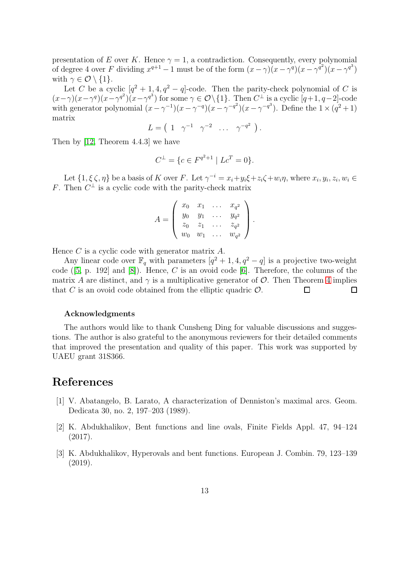presentation of E over K. Hence  $\gamma = 1$ , a contradiction. Consequently, every polynomial of degree 4 over F dividing  $x^{q+1} - 1$  must be of the form  $(x - \gamma)(x - \gamma^q)(x - \gamma^{q^2})(x - \gamma^{q^3})$ with  $\gamma \in \mathcal{O} \setminus \{1\}.$ 

Let C be a cyclic  $[q^2 + 1, 4, q^2 - q]$ -code. Then the parity-check polynomial of C is  $(x-\gamma)(x-\gamma^q)(x-\gamma^{q^2})(x-\gamma^{q^3})$  for some  $\gamma \in \mathcal{O}\setminus\{1\}$ . Then  $C^{\perp}$  is a cyclic  $[q+1, q-2]$ -code with generator polynomial  $(x - \gamma^{-1})(x - \gamma^{-q})(x - \gamma^{-q^2})(x - \gamma^{-q^3})$ . Define the  $1 \times (q^2 + 1)$ matrix

$$
L = \begin{pmatrix} 1 & \gamma^{-1} & \gamma^{-2} & \dots & \gamma^{-q^2} \end{pmatrix}.
$$

Then by [\[12,](#page-13-6) Theorem 4.4.3] we have

$$
C^{\perp} = \{ c \in F^{q^2+1} \mid Lc^T = 0 \}.
$$

Let  $\{1, \xi \zeta, \eta\}$  be a basis of K over F. Let  $\gamma^{-i} = x_i + y_i \xi + z_i \zeta + w_i \eta$ , where  $x_i, y_i, z_i, w_i \in$ F. Then  $C^{\perp}$  is a cyclic code with the parity-check matrix

$$
A = \begin{pmatrix} x_0 & x_1 & \dots & x_{q^2} \\ y_0 & y_1 & \dots & y_{q^2} \\ z_0 & z_1 & \dots & z_{q^2} \\ w_0 & w_1 & \dots & w_{q^2} \end{pmatrix}.
$$

Hence  $C$  is a cyclic code with generator matrix  $A$ .

Any linear code over  $\mathbb{F}_q$  with parameters  $[q^2 + 1, 4, q^2 - q]$  is a projective two-weight code ([\[5,](#page-13-7) p. 192] and [\[8\]](#page-13-9)). Hence, C is an ovoid code [\[6\]](#page-13-1). Therefore, the columns of the matrix A are distinct, and  $\gamma$  is a multiplicative generator of  $\mathcal{O}$ . Then Theorem [4](#page-10-1) implies that C is an ovoid code obtained from the elliptic quadric  $\mathcal{O}$ . that C is an ovoid code obtained from the elliptic quadric  $\mathcal{O}$ .

#### Acknowledgments

The authors would like to thank Cunsheng Ding for valuable discussions and suggestions. The author is also grateful to the anonymous reviewers for their detailed comments that improved the presentation and quality of this paper. This work was supported by UAEU grant 31S366.

## <span id="page-12-2"></span>References

- [1] V. Abatangelo, B. Larato, A characterization of Denniston's maximal arcs. Geom. Dedicata 30, no. 2, 197–203 (1989).
- <span id="page-12-0"></span>[2] K. Abdukhalikov, Bent functions and line ovals, Finite Fields Appl. 47, 94–124 (2017).
- <span id="page-12-1"></span>[3] K. Abdukhalikov, Hyperovals and bent functions. European J. Combin. 79, 123–139 (2019).